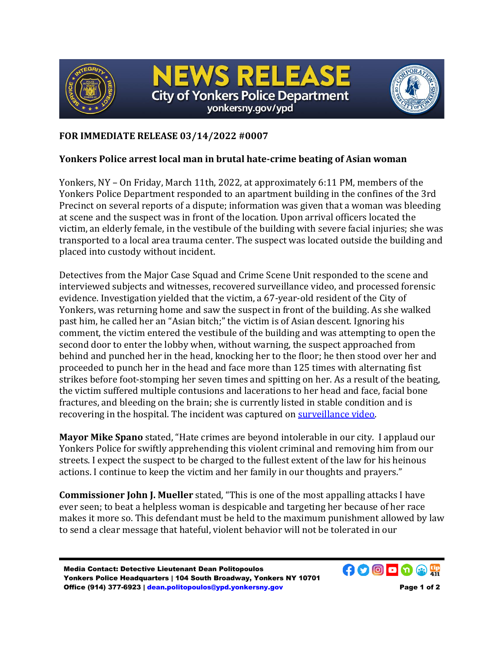

**EWS RELE City of Yonkers Police Department** yonkersny.gov/ypd



## **FOR IMMEDIATE RELEASE 03/14/2022 #0007**

## **Yonkers Police arrest local man in brutal hate-crime beating of Asian woman**

Yonkers, NY – On Friday, March 11th, 2022, at approximately 6:11 PM, members of the Yonkers Police Department responded to an apartment building in the confines of the 3rd Precinct on several reports of a dispute; information was given that a woman was bleeding at scene and the suspect was in front of the location. Upon arrival officers located the victim, an elderly female, in the vestibule of the building with severe facial injuries; she was transported to a local area trauma center. The suspect was located outside the building and placed into custody without incident.

Detectives from the Major Case Squad and Crime Scene Unit responded to the scene and interviewed subjects and witnesses, recovered surveillance video, and processed forensic evidence. Investigation yielded that the victim, a 67-year-old resident of the City of Yonkers, was returning home and saw the suspect in front of the building. As she walked past him, he called her an "Asian bitch;" the victim is of Asian descent. Ignoring his comment, the victim entered the vestibule of the building and was attempting to open the second door to enter the lobby when, without warning, the suspect approached from behind and punched her in the head, knocking her to the floor; he then stood over her and proceeded to punch her in the head and face more than 125 times with alternating fist strikes before foot-stomping her seven times and spitting on her. As a result of the beating, the victim suffered multiple contusions and lacerations to her head and face, facial bone fractures, and bleeding on the brain; she is currently listed in stable condition and is recovering in the hospital. The incident was captured on [surveillance video.](https://youtu.be/NFflOcpvoI8)

**Mayor Mike Spano** stated, "Hate crimes are beyond intolerable in our city. I applaud our Yonkers Police for swiftly apprehending this violent criminal and removing him from our streets. I expect the suspect to be charged to the fullest extent of the law for his heinous actions. I continue to keep the victim and her family in our thoughts and prayers."

**Commissioner John J. Mueller** stated, "This is one of the most appalling attacks I have ever seen; to beat a helpless woman is despicable and targeting her because of her race makes it more so. This defendant must be held to the maximum punishment allowed by law to send a clear message that hateful, violent behavior will not be tolerated in our